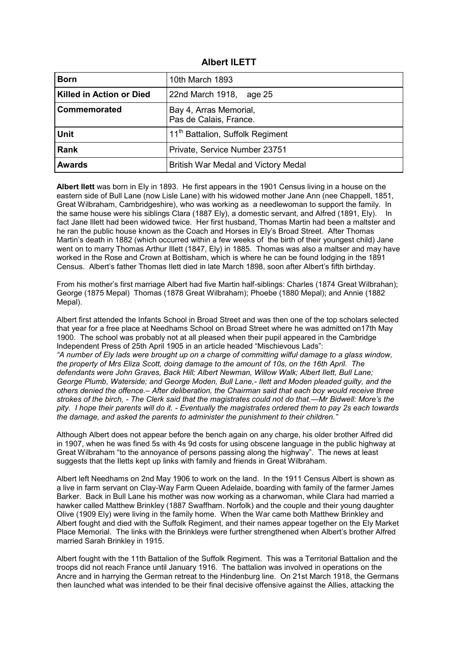| <b>Albert ILETT</b> |  |
|---------------------|--|
|---------------------|--|

| <b>Born</b>              | 10th March 1893                                  |
|--------------------------|--------------------------------------------------|
| Killed in Action or Died | 22nd March 1918, age 25                          |
| Commemorated             | Bay 4, Arras Memorial,<br>Pas de Calais, France. |
| <b>Unit</b>              | 11 <sup>th</sup> Battalion, Suffolk Regiment     |
| <b>Rank</b>              | Private, Service Number 23751                    |
| <b>Awards</b>            | British War Medal and Victory Medal              |

**Albert Ilett** was born in Ely in 1893. He first appears in the 1901 Census living in a house on the eastern side of Bull Lane (now Lisle Lane) with his widowed mother Jane Ann (nee Chappell, 1851, Great Wilbraham, Cambridgeshire), who was working as a needlewoman to support the family. In the same house were his siblings Clara (1887 Ely), a domestic servant, and Alfred (1891, Ely). In fact Jane Illett had been widowed twice. Her first husband, Thomas Martin had been a maltster and he ran the public house known as the Coach and Horses in Ely's Broad Street. After Thomas Martin's death in 1882 (which occurred within a few weeks of the birth of their youngest child) Jane went on to marry Thomas Arthur Illett (1847, Ely) in 1885. Thomas was also a maltser and may have worked in the Rose and Crown at Bottisham, which is where he can be found lodging in the 1891 Census. Albert's father Thomas Ilett died in late March 1898, soon after Albert's fifth birthday.

From his mother's first marriage Albert had five Martin half-siblings: Charles (1874 Great Wilbrahan); George (1875 Mepal) Thomas (1878 Great Wilbraham); Phoebe (1880 Mepal); and Annie (1882 Mepal).

Albert first attended the Infants School in Broad Street and was then one of the top scholars selected that year for a free place at Needhams School on Broad Street where he was admitted on17th May 1900. The school was probably not at all pleased when their pupil appeared in the Cambridge Independent Press of 25th April 1905 in an article headed "Mischievous Lads": *"A number of Ely lads were brought up on a charge of committing wilful damage to a glass window, the property of Mrs Eliza Scott, doing damage to the amount of 10s, on the 16th April. The defendants were John Graves, Back Hill; Albert Newman, Willow Walk; Albert Ilett, Bull Lane; George Plumb, Waterside; and George Moden, Bull Lane,- Ilett and Moden pleaded guilty, and the others denied the offence.– After deliberation, the Chairman said that each boy would receive three strokes of the birch, - The Clerk said that the magistrates could not do that.—Mr Bidwell: More's the pity. I hope their parents will do it. - Eventually the magistrates ordered them to pay 2s each towards the damage, and asked the parents to administer the punishment to their children."*

Although Albert does not appear before the bench again on any charge, his older brother Alfred did in 1907, when he was fined 5s with 4s 9d costs for using obscene language in the public highway at Great Wilbraham "to the annoyance of persons passing along the highway". The news at least suggests that the Iletts kept up links with family and friends in Great Wilbraham.

Albert left Needhams on 2nd May 1906 to work on the land. In the 1911 Census Albert is shown as a live in farm servant on Clay-Way Farm Queen Adelaide, boarding with family of the farmer James Barker. Back in Bull Lane his mother was now working as a charwoman, while Clara had married a hawker called Matthew Brinkley (1887 Swaffham. Norfolk) and the couple and their young daughter Olive (1909 Ely) were living in the family home. When the War came both Matthew Brinkley and Albert fought and died with the Suffolk Regiment, and their names appear together on the Ely Market Place Memorial. The links with the Brinkleys were further strengthened when Albert's brother Alfred married Sarah Brinkley in 1915.

Albert fought with the 11th Battalion of the Suffolk Regiment. This was a Territorial Battalion and the troops did not reach France until January 1916. The battalion was involved in operations on the Ancre and in harrying the German retreat to the Hindenburg line. On 21st March 1918, the Germans then launched what was intended to be their final decisive offensive against the Allies, attacking the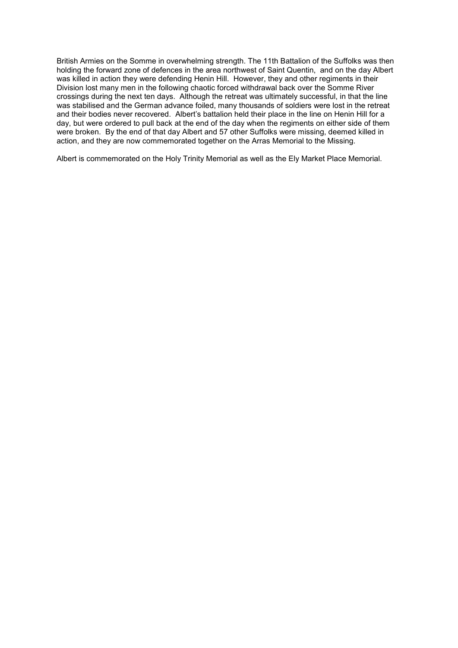British Armies on the Somme in overwhelming strength. The 11th Battalion of the Suffolks was then holding the forward zone of defences in the area northwest of Saint Quentin, and on the day Albert was killed in action they were defending Henin Hill. However, they and other regiments in their Division lost many men in the following chaotic forced withdrawal back over the Somme River crossings during the next ten days. Although the retreat was ultimately successful, in that the line was stabilised and the German advance foiled, many thousands of soldiers were lost in the retreat and their bodies never recovered. Albert's battalion held their place in the line on Henin Hill for a day, but were ordered to pull back at the end of the day when the regiments on either side of them were broken. By the end of that day Albert and 57 other Suffolks were missing, deemed killed in action, and they are now commemorated together on the Arras Memorial to the Missing.

Albert is commemorated on the Holy Trinity Memorial as well as the Ely Market Place Memorial.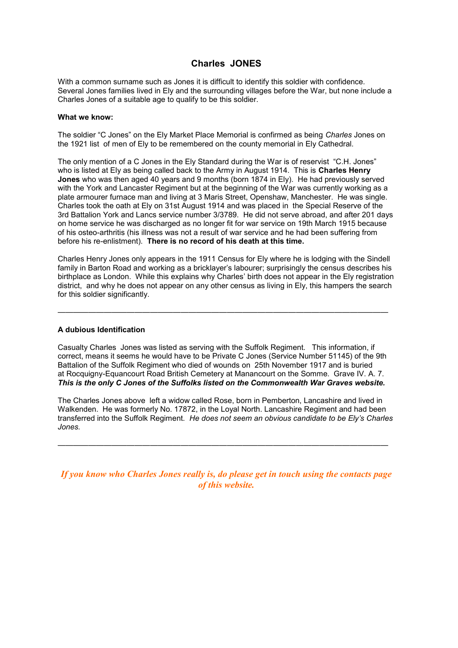# **Charles JONES**

With a common surname such as Jones it is difficult to identify this soldier with confidence. Several Jones families lived in Ely and the surrounding villages before the War, but none include a Charles Jones of a suitable age to qualify to be this soldier.

#### **What we know:**

The soldier "C Jones" on the Ely Market Place Memorial is confirmed as being *Charles* Jones on the 1921 list of men of Ely to be remembered on the county memorial in Ely Cathedral.

The only mention of a C Jones in the Ely Standard during the War is of reservist "C.H. Jones" who is listed at Ely as being called back to the Army in August 1914. This is **Charles Henry Jones** who was then aged 40 years and 9 months (born 1874 in Ely). He had previously served with the York and Lancaster Regiment but at the beginning of the War was currently working as a plate armourer furnace man and living at 3 Maris Street, Openshaw, Manchester. He was single. Charles took the oath at Ely on 31st August 1914 and was placed in the Special Reserve of the 3rd Battalion York and Lancs service number 3/3789. He did not serve abroad, and after 201 days on home service he was discharged as no longer fit for war service on 19th March 1915 because of his osteo-arthritis (his illness was not a result of war service and he had been suffering from before his re-enlistment). **There is no record of his death at this time.**

Charles Henry Jones only appears in the 1911 Census for Ely where he is lodging with the Sindell family in Barton Road and working as a bricklayer's labourer; surprisingly the census describes his birthplace as London. While this explains why Charles' birth does not appear in the Ely registration district, and why he does not appear on any other census as living in Ely, this hampers the search for this soldier significantly.

———————————————————————————————————————————

### **A dubious Identification**

Casualty Charles Jones was listed as serving with the Suffolk Regiment. This information, if correct, means it seems he would have to be Private C Jones (Service Number 51145) of the 9th Battalion of the Suffolk Regiment who died of wounds on 25th November 1917 and is buried at Rocquigny-Equancourt Road British Cemetery at Manancourt on the Somme. Grave IV. A. 7. *This is the only C Jones of the Suffolks listed on the Commonwealth War Graves website.*

The Charles Jones above left a widow called Rose, born in Pemberton, Lancashire and lived in Walkenden. He was formerly No. 17872, in the Loyal North. Lancashire Regiment and had been transferred into the Suffolk Regiment. *He does not seem an obvious candidate to be Ely's Charles Jones.* 

 $\mathcal{L}=\{x_1,\ldots,x_n\}$  , we can assume that  $\mathcal{L}=\{x_1,\ldots,x_n\}$  ,  $\mathcal{L}=\{x_1,\ldots,x_n\}$ 

*If you know who Charles Jones really is, do please get in touch using the contacts page of this website.*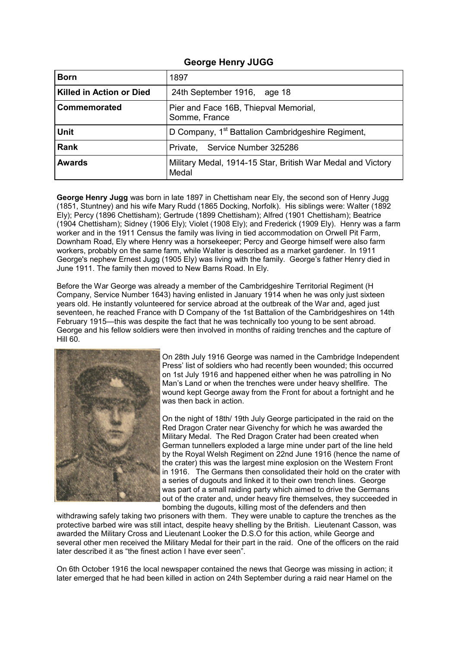### **George Henry JUGG**

| <b>Born</b>                     | 1897                                                                 |
|---------------------------------|----------------------------------------------------------------------|
| <b>Killed in Action or Died</b> | 24th September 1916, age 18                                          |
| Commemorated                    | Pier and Face 16B, Thiepval Memorial,<br>Somme, France               |
| <b>Unit</b>                     | D Company, 1 <sup>st</sup> Battalion Cambridgeshire Regiment,        |
| Rank                            | Service Number 325286<br>Private,                                    |
| <b>Awards</b>                   | Military Medal, 1914-15 Star, British War Medal and Victory<br>Medal |

**George Henry Jugg** was born in late 1897 in Chettisham near Ely, the second son of Henry Jugg (1851, Stuntney) and his wife Mary Rudd (1865 Docking, Norfolk). His siblings were: Walter (1892 Ely); Percy (1896 Chettisham); Gertrude (1899 Chettisham); Alfred (1901 Chettisham); Beatrice (1904 Chettisham); Sidney (1906 Ely); Violet (1908 Ely); and Frederick (1909 Ely). Henry was a farm worker and in the 1911 Census the family was living in tied accommodation on Orwell Pit Farm, Downham Road, Ely where Henry was a horsekeeper; Percy and George himself were also farm workers, probably on the same farm, while Walter is described as a market gardener. In 1911 George's nephew Ernest Jugg (1905 Ely) was living with the family. George's father Henry died in June 1911. The family then moved to New Barns Road. In Ely.

Before the War George was already a member of the Cambridgeshire Territorial Regiment (H Company, Service Number 1643) having enlisted in January 1914 when he was only just sixteen years old. He instantly volunteered for service abroad at the outbreak of the War and, aged just seventeen, he reached France with D Company of the 1st Battalion of the Cambridgeshires on 14th February 1915—this was despite the fact that he was technically too young to be sent abroad. George and his fellow soldiers were then involved in months of raiding trenches and the capture of Hill 60.



On 28th July 1916 George was named in the Cambridge Independent Press' list of soldiers who had recently been wounded; this occurred on 1st July 1916 and happened either when he was patrolling in No Man's Land or when the trenches were under heavy shellfire. The wound kept George away from the Front for about a fortnight and he was then back in action.

On the night of 18th/ 19th July George participated in the raid on the Red Dragon Crater near Givenchy for which he was awarded the Military Medal. The Red Dragon Crater had been created when German tunnellers exploded a large mine under part of the line held by the Royal Welsh Regiment on 22nd June 1916 (hence the name of the crater) this was the largest mine explosion on the Western Front in 1916. The Germans then consolidated their hold on the crater with a series of dugouts and linked it to their own trench lines. George was part of a small raiding party which aimed to drive the Germans out of the crater and, under heavy fire themselves, they succeeded in bombing the dugouts, killing most of the defenders and then

withdrawing safely taking two prisoners with them. They were unable to capture the trenches as the protective barbed wire was still intact, despite heavy shelling by the British. Lieutenant Casson, was awarded the Military Cross and Lieutenant Looker the D.S.O for this action, while George and several other men received the Military Medal for their part in the raid. One of the officers on the raid later described it as "the finest action I have ever seen".

On 6th October 1916 the local newspaper contained the news that George was missing in action; it later emerged that he had been killed in action on 24th September during a raid near Hamel on the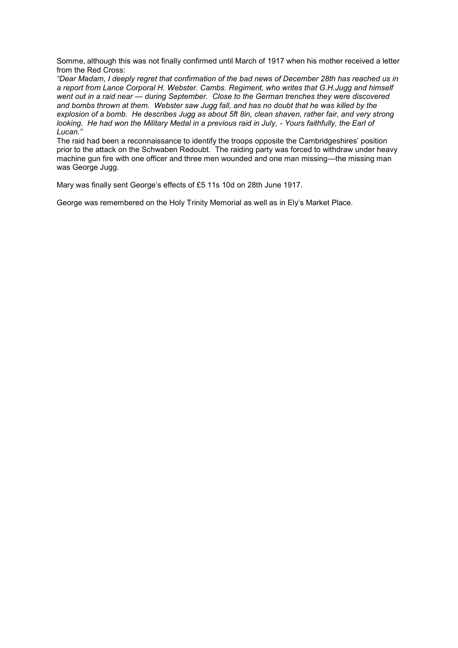Somme, although this was not finally confirmed until March of 1917 when his mother received a letter from the Red Cross:

*"Dear Madam, I deeply regret that confirmation of the bad news of December 28th has reached us in a report from Lance Corporal H. Webster. Cambs. Regiment, who writes that G.H.Jugg and himself went out in a raid near — during September. Close to the German trenches they were discovered and bombs thrown at them. Webster saw Jugg fall, and has no doubt that he was killed by the explosion of a bomb. He describes Jugg as about 5ft 8in, clean shaven, rather fair, and very strong*  looking. He had won the Military Medal in a previous raid in July, - Yours faithfully, the Earl of *Lucan."* 

The raid had been a reconnaissance to identify the troops opposite the Cambridgeshires' position prior to the attack on the Schwaben Redoubt. The raiding party was forced to withdraw under heavy machine gun fire with one officer and three men wounded and one man missing—the missing man was George Jugg.

Mary was finally sent George's effects of £5 11s 10d on 28th June 1917.

George was remembered on the Holy Trinity Memorial as well as in Ely's Market Place.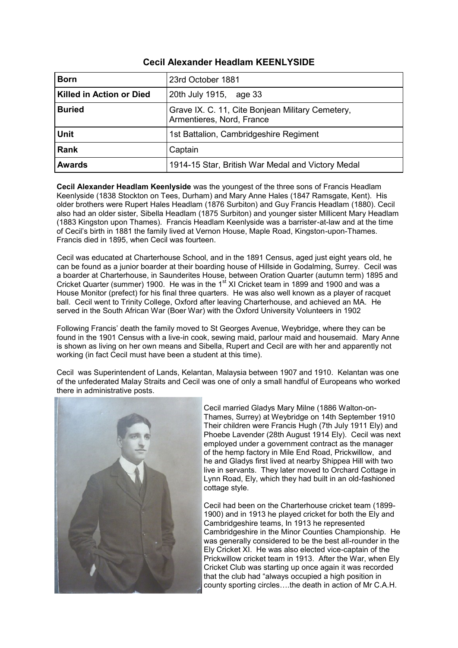| <b>Cecil Alexander Headlam KEENLYSIDE</b> |  |  |  |
|-------------------------------------------|--|--|--|
|-------------------------------------------|--|--|--|

| <b>Born</b>                     | 23rd October 1881                                                             |
|---------------------------------|-------------------------------------------------------------------------------|
| <b>Killed in Action or Died</b> | 20th July 1915, age 33                                                        |
| <b>Buried</b>                   | Grave IX. C. 11, Cite Bonjean Military Cemetery,<br>Armentieres, Nord, France |
| <b>Unit</b>                     | 1st Battalion, Cambridgeshire Regiment                                        |
| Rank                            | Captain                                                                       |
| <b>Awards</b>                   | 1914-15 Star, British War Medal and Victory Medal                             |

**Cecil Alexander Headlam Keenlyside** was the youngest of the three sons of Francis Headlam Keenlyside (1838 Stockton on Tees, Durham) and Mary Anne Hales (1847 Ramsgate, Kent). His older brothers were Rupert Hales Headlam (1876 Surbiton) and Guy Francis Headlam (1880). Cecil also had an older sister, Sibella Headlam (1875 Surbiton) and younger sister Millicent Mary Headlam (1883 Kingston upon Thames). Francis Headlam Keenlyside was a barrister-at-law and at the time of Cecil's birth in 1881 the family lived at Vernon House, Maple Road, Kingston-upon-Thames. Francis died in 1895, when Cecil was fourteen.

Cecil was educated at Charterhouse School, and in the 1891 Census, aged just eight years old, he can be found as a junior boarder at their boarding house of Hillside in Godalming, Surrey. Cecil was a boarder at Charterhouse, in Saunderites House, between Oration Quarter (autumn term) 1895 and Cricket Quarter (summer) 1900. He was in the 1st XI Cricket team in 1899 and 1900 and was a House Monitor (prefect) for his final three quarters. He was also well known as a player of racquet ball. Cecil went to Trinity College, Oxford after leaving Charterhouse, and achieved an MA. He served in the South African War (Boer War) with the Oxford University Volunteers in 1902

Following Francis' death the family moved to St Georges Avenue, Weybridge, where they can be found in the 1901 Census with a live-in cook, sewing maid, parlour maid and housemaid. Mary Anne is shown as living on her own means and Sibella, Rupert and Cecil are with her and apparently not working (in fact Cecil must have been a student at this time).

Cecil was Superintendent of Lands, Kelantan, Malaysia between 1907 and 1910. Kelantan was one of the unfederated Malay Straits and Cecil was one of only a small handful of Europeans who worked there in administrative posts.



Cecil married Gladys Mary Milne (1886 Walton-on-Thames, Surrey) at Weybridge on 14th September 1910 Their children were Francis Hugh (7th July 1911 Ely) and Phoebe Lavender (28th August 1914 Ely). Cecil was next employed under a government contract as the manager of the hemp factory in Mile End Road, Prickwillow, and he and Gladys first lived at nearby Shippea Hill with two live in servants. They later moved to Orchard Cottage in Lynn Road, Ely, which they had built in an old-fashioned cottage style.

Cecil had been on the Charterhouse cricket team (1899- 1900) and in 1913 he played cricket for both the Ely and Cambridgeshire teams, In 1913 he represented Cambridgeshire in the Minor Counties Championship. He was generally considered to be the best all-rounder in the Ely Cricket XI. He was also elected vice-captain of the Prickwillow cricket team in 1913. After the War, when Ely Cricket Club was starting up once again it was recorded that the club had "always occupied a high position in county sporting circles….the death in action of Mr C.A.H.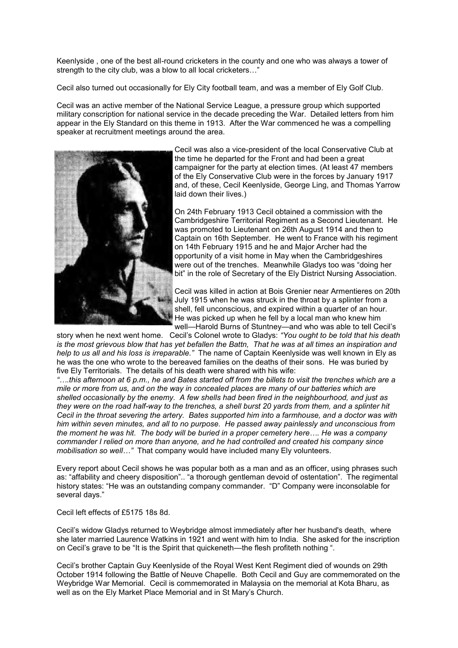Keenlyside , one of the best all-round cricketers in the county and one who was always a tower of strength to the city club, was a blow to all local cricketers…"

Cecil also turned out occasionally for Ely City football team, and was a member of Ely Golf Club.

Cecil was an active member of the National Service League, a pressure group which supported military conscription for national service in the decade preceding the War. Detailed letters from him appear in the Ely Standard on this theme in 1913. After the War commenced he was a compelling speaker at recruitment meetings around the area.



Cecil was also a vice-president of the local Conservative Club at the time he departed for the Front and had been a great campaigner for the party at election times. (At least 47 members of the Ely Conservative Club were in the forces by January 1917 and, of these, Cecil Keenlyside, George Ling, and Thomas Yarrow laid down their lives.)

On 24th February 1913 Cecil obtained a commission with the Cambridgeshire Territorial Regiment as a Second Lieutenant. He was promoted to Lieutenant on 26th August 1914 and then to Captain on 16th September. He went to France with his regiment on 14th February 1915 and he and Major Archer had the opportunity of a visit home in May when the Cambridgeshires were out of the trenches. Meanwhile Gladys too was "doing her bit" in the role of Secretary of the Ely District Nursing Association.

Cecil was killed in action at Bois Grenier near Armentieres on 20th July 1915 when he was struck in the throat by a splinter from a shell, fell unconscious, and expired within a quarter of an hour. He was picked up when he fell by a local man who knew him well—Harold Burns of Stuntney—and who was able to tell Cecil's

story when he next went home. Cecil's Colonel wrote to Gladys: *"You ought to be told that his death is the most grievous blow that has yet befallen the Battn, That he was at all times an inspiration and help to us all and his loss is irreparable."* The name of Captain Keenlyside was well known in Ely as he was the one who wrote to the bereaved families on the deaths of their sons. He was buried by five Ely Territorials. The details of his death were shared with his wife:

*"….this afternoon at 6 p.m., he and Bates started off from the billets to visit the trenches which are a mile or more from us, and on the way in concealed places are many of our batteries which are shelled occasionally by the enemy. A few shells had been fired in the neighbourhood, and just as they were on the road half-way to the trenches, a shell burst 20 yards from them, and a splinter hit Cecil in the throat severing the artery. Bates supported him into a farmhouse, and a doctor was with him within seven minutes, and all to no purpose. He passed away painlessly and unconscious from the moment he was hit. The body will be buried in a proper cemetery here…. He was a company commander I relied on more than anyone, and he had controlled and created his company since mobilisation so well…"* That company would have included many Ely volunteers.

Every report about Cecil shows he was popular both as a man and as an officer, using phrases such as: "affability and cheery disposition".. "a thorough gentleman devoid of ostentation". The regimental history states: "He was an outstanding company commander. "D" Company were inconsolable for several days."

Cecil left effects of £5175 18s 8d.

Cecil's widow Gladys returned to Weybridge almost immediately after her husband's death, where she later married Laurence Watkins in 1921 and went with him to India. She asked for the inscription on Cecil's grave to be "It is the Spirit that quickeneth—the flesh profiteth nothing ".

Cecil's brother Captain Guy Keenlyside of the Royal West Kent Regiment died of wounds on 29th October 1914 following the Battle of Neuve Chapelle. Both Cecil and Guy are commemorated on the Weybridge War Memorial. Cecil is commemorated in Malaysia on the memorial at Kota Bharu, as well as on the Ely Market Place Memorial and in St Mary's Church.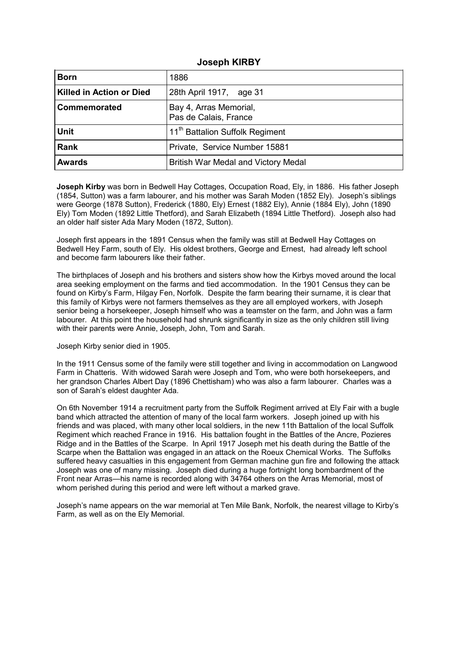### **Joseph KIRBY**

| <b>Born</b>                     | 1886                                            |
|---------------------------------|-------------------------------------------------|
| <b>Killed in Action or Died</b> | 28th April 1917, age 31                         |
| Commemorated                    | Bay 4, Arras Memorial,<br>Pas de Calais, France |
| <b>Unit</b>                     | 11 <sup>th</sup> Battalion Suffolk Regiment     |
| <b>Rank</b>                     | Private, Service Number 15881                   |
| <b>Awards</b>                   | British War Medal and Victory Medal             |

**Joseph Kirby** was born in Bedwell Hay Cottages, Occupation Road, Ely, in 1886. His father Joseph (1854, Sutton) was a farm labourer, and his mother was Sarah Moden (1852 Ely). Joseph's siblings were George (1878 Sutton), Frederick (1880, Ely) Ernest (1882 Ely), Annie (1884 Ely), John (1890 Ely) Tom Moden (1892 Little Thetford), and Sarah Elizabeth (1894 Little Thetford). Joseph also had an older half sister Ada Mary Moden (1872, Sutton).

Joseph first appears in the 1891 Census when the family was still at Bedwell Hay Cottages on Bedwell Hey Farm, south of Ely. His oldest brothers, George and Ernest, had already left school and become farm labourers like their father.

The birthplaces of Joseph and his brothers and sisters show how the Kirbys moved around the local area seeking employment on the farms and tied accommodation. In the 1901 Census they can be found on Kirby's Farm, Hilgay Fen, Norfolk. Despite the farm bearing their surname, it is clear that this family of Kirbys were not farmers themselves as they are all employed workers, with Joseph senior being a horsekeeper, Joseph himself who was a teamster on the farm, and John was a farm labourer. At this point the household had shrunk significantly in size as the only children still living with their parents were Annie, Joseph, John, Tom and Sarah.

### Joseph Kirby senior died in 1905.

In the 1911 Census some of the family were still together and living in accommodation on Langwood Farm in Chatteris. With widowed Sarah were Joseph and Tom, who were both horsekeepers, and her grandson Charles Albert Day (1896 Chettisham) who was also a farm labourer. Charles was a son of Sarah's eldest daughter Ada.

On 6th November 1914 a recruitment party from the Suffolk Regiment arrived at Ely Fair with a bugle band which attracted the attention of many of the local farm workers. Joseph joined up with his friends and was placed, with many other local soldiers, in the new 11th Battalion of the local Suffolk Regiment which reached France in 1916. His battalion fought in the Battles of the Ancre, Pozieres Ridge and in the Battles of the Scarpe. In April 1917 Joseph met his death during the Battle of the Scarpe when the Battalion was engaged in an attack on the Roeux Chemical Works. The Suffolks suffered heavy casualties in this engagement from German machine gun fire and following the attack Joseph was one of many missing. Joseph died during a huge fortnight long bombardment of the Front near Arras—his name is recorded along with 34764 others on the Arras Memorial, most of whom perished during this period and were left without a marked grave.

Joseph's name appears on the war memorial at Ten Mile Bank, Norfolk, the nearest village to Kirby's Farm, as well as on the Ely Memorial.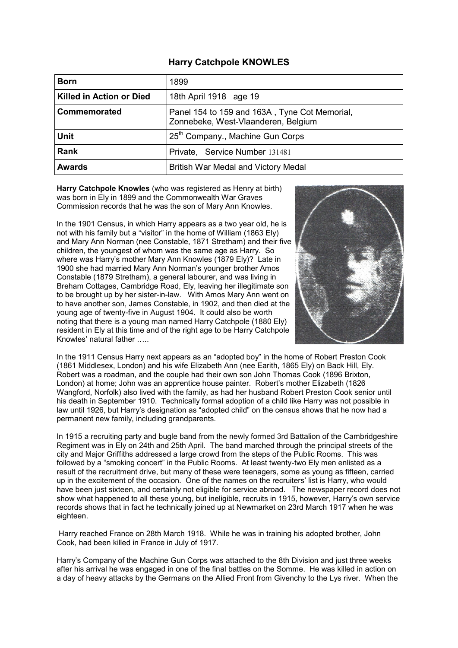## **Harry Catchpole KNOWLES**

| <b>Born</b>                     | 1899                                                                                 |
|---------------------------------|--------------------------------------------------------------------------------------|
| <b>Killed in Action or Died</b> | 18th April 1918 age 19                                                               |
| Commemorated                    | Panel 154 to 159 and 163A, Tyne Cot Memorial,<br>Zonnebeke, West-Vlaanderen, Belgium |
| <b>Unit</b>                     | 25 <sup>th</sup> Company., Machine Gun Corps                                         |
| <b>Rank</b>                     | Private, Service Number 131481                                                       |
| <b>Awards</b>                   | British War Medal and Victory Medal                                                  |

**Harry Catchpole Knowles** (who was registered as Henry at birth) was born in Ely in 1899 and the Commonwealth War Graves Commission records that he was the son of Mary Ann Knowles.

In the 1901 Census, in which Harry appears as a two year old, he is not with his family but a "visitor" in the home of William (1863 Ely) and Mary Ann Norman (nee Constable, 1871 Stretham) and their five children, the youngest of whom was the same age as Harry. So where was Harry's mother Mary Ann Knowles (1879 Ely)? Late in 1900 she had married Mary Ann Norman's younger brother Amos Constable (1879 Stretham), a general labourer, and was living in Breham Cottages, Cambridge Road, Ely, leaving her illegitimate son to be brought up by her sister-in-law. With Amos Mary Ann went on to have another son, James Constable, in 1902, and then died at the young age of twenty-five in August 1904. It could also be worth noting that there is a young man named Harry Catchpole (1880 Ely) resident in Ely at this time and of the right age to be Harry Catchpole Knowles' natural father …..



In the 1911 Census Harry next appears as an "adopted boy" in the home of Robert Preston Cook (1861 Middlesex, London) and his wife Elizabeth Ann (nee Earith, 1865 Ely) on Back Hill, Ely. Robert was a roadman, and the couple had their own son John Thomas Cook (1896 Brixton, London) at home; John was an apprentice house painter. Robert's mother Elizabeth (1826 Wangford, Norfolk) also lived with the family, as had her husband Robert Preston Cook senior until his death in September 1910. Technically formal adoption of a child like Harry was not possible in law until 1926, but Harry's designation as "adopted child" on the census shows that he now had a permanent new family, including grandparents.

In 1915 a recruiting party and bugle band from the newly formed 3rd Battalion of the Cambridgeshire Regiment was in Ely on 24th and 25th April. The band marched through the principal streets of the city and Major Griffiths addressed a large crowd from the steps of the Public Rooms. This was followed by a "smoking concert" in the Public Rooms. At least twenty-two Ely men enlisted as a result of the recruitment drive, but many of these were teenagers, some as young as fifteen, carried up in the excitement of the occasion. One of the names on the recruiters' list is Harry, who would have been just sixteen, and certainly not eligible for service abroad. The newspaper record does not show what happened to all these young, but ineligible, recruits in 1915, however, Harry's own service records shows that in fact he technically joined up at Newmarket on 23rd March 1917 when he was eighteen.

Harry reached France on 28th March 1918. While he was in training his adopted brother, John Cook, had been killed in France in July of 1917.

Harry's Company of the Machine Gun Corps was attached to the 8th Division and just three weeks after his arrival he was engaged in one of the final battles on the Somme. He was killed in action on a day of heavy attacks by the Germans on the Allied Front from Givenchy to the Lys river. When the